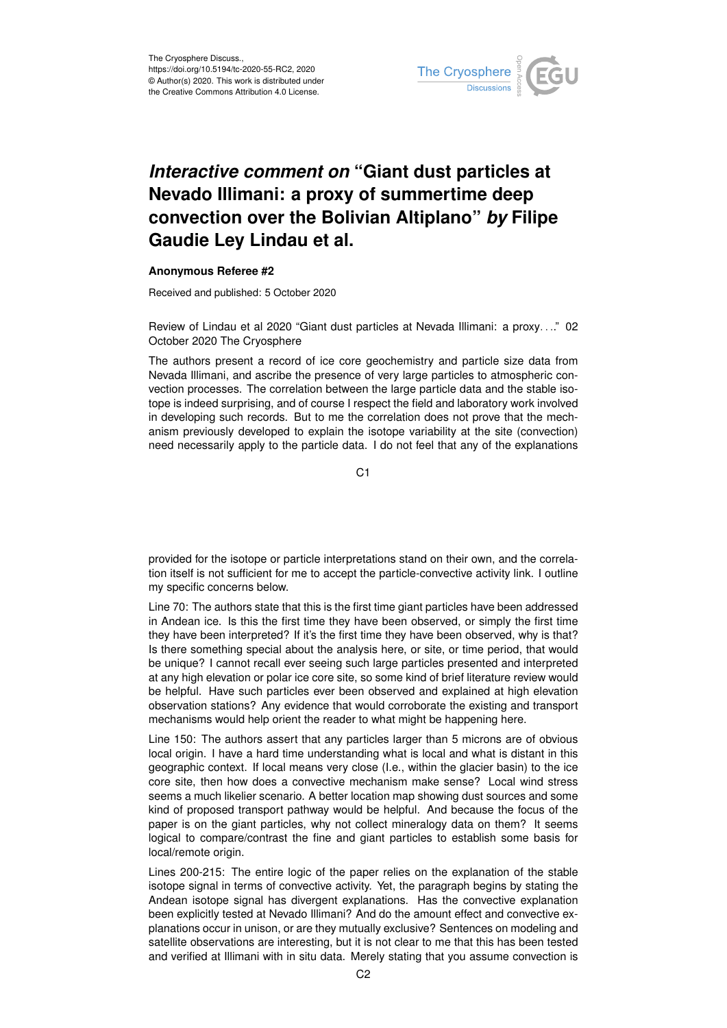

## *Interactive comment on* **"Giant dust particles at Nevado Illimani: a proxy of summertime deep convection over the Bolivian Altiplano"** *by* **Filipe Gaudie Ley Lindau et al.**

## **Anonymous Referee #2**

Received and published: 5 October 2020

Review of Lindau et al 2020 "Giant dust particles at Nevada Illimani: a proxy. . .." 02 October 2020 The Cryosphere

The authors present a record of ice core geochemistry and particle size data from Nevada Illimani, and ascribe the presence of very large particles to atmospheric convection processes. The correlation between the large particle data and the stable isotope is indeed surprising, and of course I respect the field and laboratory work involved in developing such records. But to me the correlation does not prove that the mechanism previously developed to explain the isotope variability at the site (convection) need necessarily apply to the particle data. I do not feel that any of the explanations

C1

provided for the isotope or particle interpretations stand on their own, and the correlation itself is not sufficient for me to accept the particle-convective activity link. I outline my specific concerns below.

Line 70: The authors state that this is the first time giant particles have been addressed in Andean ice. Is this the first time they have been observed, or simply the first time they have been interpreted? If it's the first time they have been observed, why is that? Is there something special about the analysis here, or site, or time period, that would be unique? I cannot recall ever seeing such large particles presented and interpreted at any high elevation or polar ice core site, so some kind of brief literature review would be helpful. Have such particles ever been observed and explained at high elevation observation stations? Any evidence that would corroborate the existing and transport mechanisms would help orient the reader to what might be happening here.

Line 150: The authors assert that any particles larger than 5 microns are of obvious local origin. I have a hard time understanding what is local and what is distant in this geographic context. If local means very close (I.e., within the glacier basin) to the ice core site, then how does a convective mechanism make sense? Local wind stress seems a much likelier scenario. A better location map showing dust sources and some kind of proposed transport pathway would be helpful. And because the focus of the paper is on the giant particles, why not collect mineralogy data on them? It seems logical to compare/contrast the fine and giant particles to establish some basis for local/remote origin.

Lines 200-215: The entire logic of the paper relies on the explanation of the stable isotope signal in terms of convective activity. Yet, the paragraph begins by stating the Andean isotope signal has divergent explanations. Has the convective explanation been explicitly tested at Nevado Illimani? And do the amount effect and convective explanations occur in unison, or are they mutually exclusive? Sentences on modeling and satellite observations are interesting, but it is not clear to me that this has been tested and verified at Illimani with in situ data. Merely stating that you assume convection is